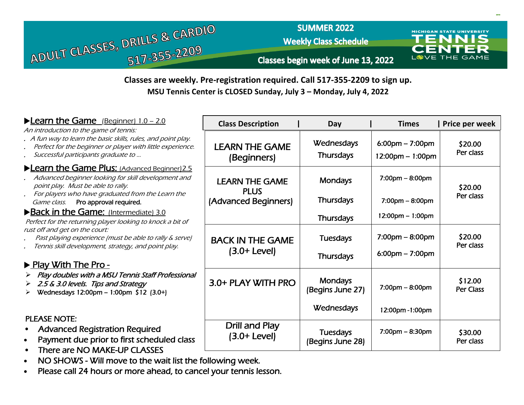

## **SUMMER 2022**

**Weekly Class Schedule** 



**MICHIGAN STATE UNIVERSITY** 

**MSU Tennis Center is CLOSED Sunday, July 3 – Monday, July 4, 2022** 

| ► Learn the Game (Beginner) 1.0 - 2.0                                                                                                                                                                        | <b>Class Description</b>               | Day                                 | <b>Times</b>                                                            | Price per week              |
|--------------------------------------------------------------------------------------------------------------------------------------------------------------------------------------------------------------|----------------------------------------|-------------------------------------|-------------------------------------------------------------------------|-----------------------------|
| An introduction to the game of tennis:<br>. A fun way to learn the basic skills, rules, and point play.<br>Perfect for the beginner or player with little experience.<br>Successful participants graduate to | <b>LEARN THE GAME</b><br>(Beginners)   | Wednesdays<br><b>Thursdays</b>      | $6:00 \text{pm} - 7:00 \text{pm}$<br>$12:00 \text{pm} - 1:00 \text{pm}$ | \$20.00<br>Per class        |
| Learn the Game Plus: (Advanced Beginner) 2.5<br>Advanced beginner looking for skill development and<br>point play. Must be able to rally.<br>For players who have graduated from the Learn the               | <b>LEARN THE GAME</b><br><b>PLUS</b>   | <b>Mondays</b>                      | $7:00 \text{pm} - 8:00 \text{pm}$                                       | \$20.00                     |
| Pro approval required.<br>Game class.                                                                                                                                                                        | (Advanced Beginners)                   | <b>Thursdays</b>                    | $7:00$ pm – $8:00$ pm                                                   | Per class                   |
| Back in the Game: (Intermediate) 3.0<br>Perfect for the returning player looking to knock a bit of                                                                                                           |                                        | <b>Thursdays</b>                    | $12:00 \text{pm} - 1:00 \text{pm}$                                      |                             |
| rust off and get on the court:<br>Past playing experience (must be able to rally & serve)<br>Tennis skill development, strategy, and point play.                                                             | <b>BACK IN THE GAME</b>                | <b>Tuesdays</b>                     | $7:00 \text{pm} - 8:00 \text{pm}$                                       | \$20.00<br>Per class        |
| ▶ Play With The Pro -                                                                                                                                                                                        | $(3.0+Level)$                          | <b>Thursdays</b>                    | $6:00 \text{pm} - 7:00 \text{pm}$                                       |                             |
| Play doubles with a MSU Tennis Staff Professional<br>2.5 & 3.0 levels. Tips and Strategy<br>Wednesdays 12:00pm - 1:00pm \$12 (3.0+)                                                                          | 3.0+ PLAY WITH PRO                     | <b>Mondays</b><br>(Begins June 27)  | $7:00 \text{pm} - 8:00 \text{pm}$                                       | \$12.00<br><b>Per Class</b> |
|                                                                                                                                                                                                              |                                        | Wednesdays                          | 12:00pm-1:00pm                                                          |                             |
| <b>PLEASE NOTE:</b><br><b>Advanced Registration Required</b><br>Payment due prior to first scheduled class<br>There are NO MAKE-UP CLASSES                                                                   | <b>Drill and Play</b><br>$(3.0+Level)$ | <b>Tuesdays</b><br>(Begins June 28) | $7:00$ pm – 8:30pm                                                      | \$30.00<br>Per class        |

- NO SHOWS Will move to the wait list the following week.
- Please call 24 hours or more ahead, to cancel your tennis lesson.